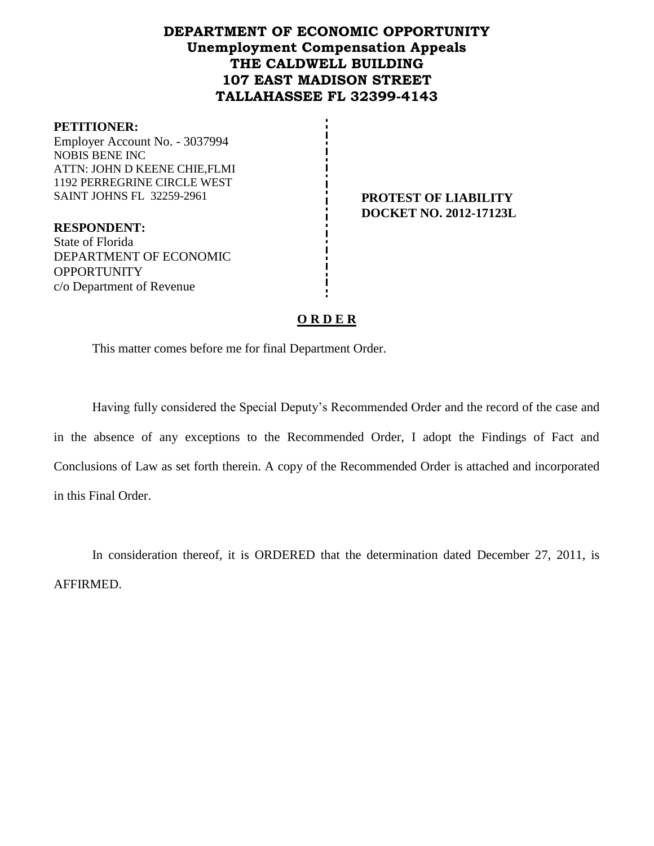# **DEPARTMENT OF ECONOMIC OPPORTUNITY Unemployment Compensation Appeals THE CALDWELL BUILDING 107 EAST MADISON STREET TALLAHASSEE FL 32399-4143**

#### **PETITIONER:**

Employer Account No. - 3037994 NOBIS BENE INC ATTN: JOHN D KEENE CHIE,FLMI 1192 PERREGRINE CIRCLE WEST SAINT JOHNS FL 32259-2961 **PROTEST OF LIABILITY** 

**RESPONDENT:** State of Florida DEPARTMENT OF ECONOMIC **OPPORTUNITY** c/o Department of Revenue

**DOCKET NO. 2012-17123L**

# **O R D E R**

This matter comes before me for final Department Order.

Having fully considered the Special Deputy's Recommended Order and the record of the case and in the absence of any exceptions to the Recommended Order, I adopt the Findings of Fact and Conclusions of Law as set forth therein. A copy of the Recommended Order is attached and incorporated in this Final Order.

In consideration thereof, it is ORDERED that the determination dated December 27, 2011, is AFFIRMED.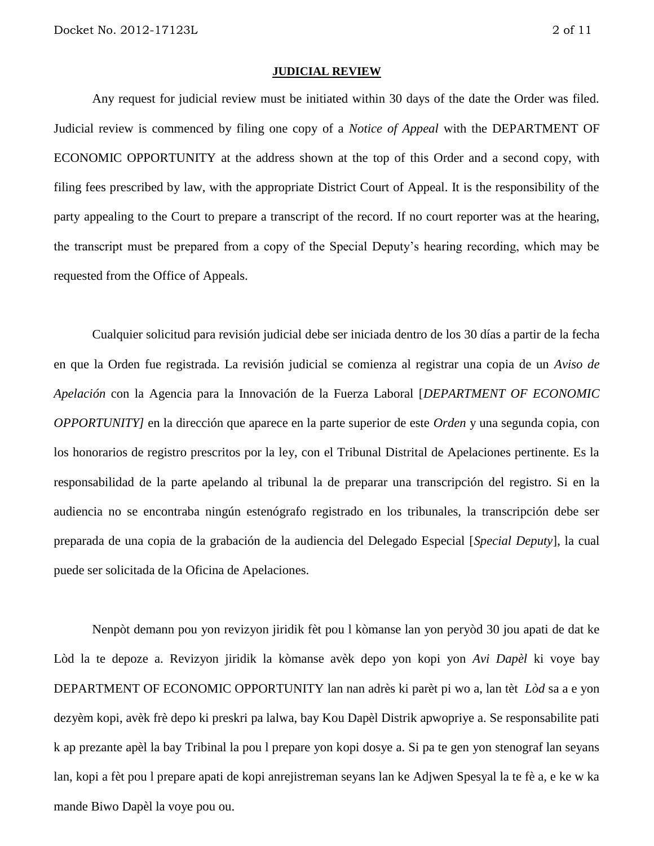#### **JUDICIAL REVIEW**

Any request for judicial review must be initiated within 30 days of the date the Order was filed. Judicial review is commenced by filing one copy of a *Notice of Appeal* with the DEPARTMENT OF ECONOMIC OPPORTUNITY at the address shown at the top of this Order and a second copy, with filing fees prescribed by law, with the appropriate District Court of Appeal. It is the responsibility of the party appealing to the Court to prepare a transcript of the record. If no court reporter was at the hearing, the transcript must be prepared from a copy of the Special Deputy's hearing recording, which may be requested from the Office of Appeals.

Cualquier solicitud para revisión judicial debe ser iniciada dentro de los 30 días a partir de la fecha en que la Orden fue registrada. La revisión judicial se comienza al registrar una copia de un *Aviso de Apelación* con la Agencia para la Innovación de la Fuerza Laboral [*DEPARTMENT OF ECONOMIC OPPORTUNITY]* en la dirección que aparece en la parte superior de este *Orden* y una segunda copia, con los honorarios de registro prescritos por la ley, con el Tribunal Distrital de Apelaciones pertinente. Es la responsabilidad de la parte apelando al tribunal la de preparar una transcripción del registro. Si en la audiencia no se encontraba ningún estenógrafo registrado en los tribunales, la transcripción debe ser preparada de una copia de la grabación de la audiencia del Delegado Especial [*Special Deputy*], la cual puede ser solicitada de la Oficina de Apelaciones.

Nenpòt demann pou yon revizyon jiridik fèt pou l kòmanse lan yon peryòd 30 jou apati de dat ke Lòd la te depoze a. Revizyon jiridik la kòmanse avèk depo yon kopi yon *Avi Dapèl* ki voye bay DEPARTMENT OF ECONOMIC OPPORTUNITY lan nan adrès ki parèt pi wo a, lan tèt *Lòd* sa a e yon dezyèm kopi, avèk frè depo ki preskri pa lalwa, bay Kou Dapèl Distrik apwopriye a. Se responsabilite pati k ap prezante apèl la bay Tribinal la pou l prepare yon kopi dosye a. Si pa te gen yon stenograf lan seyans lan, kopi a fèt pou l prepare apati de kopi anrejistreman seyans lan ke Adjwen Spesyal la te fè a, e ke w ka mande Biwo Dapèl la voye pou ou.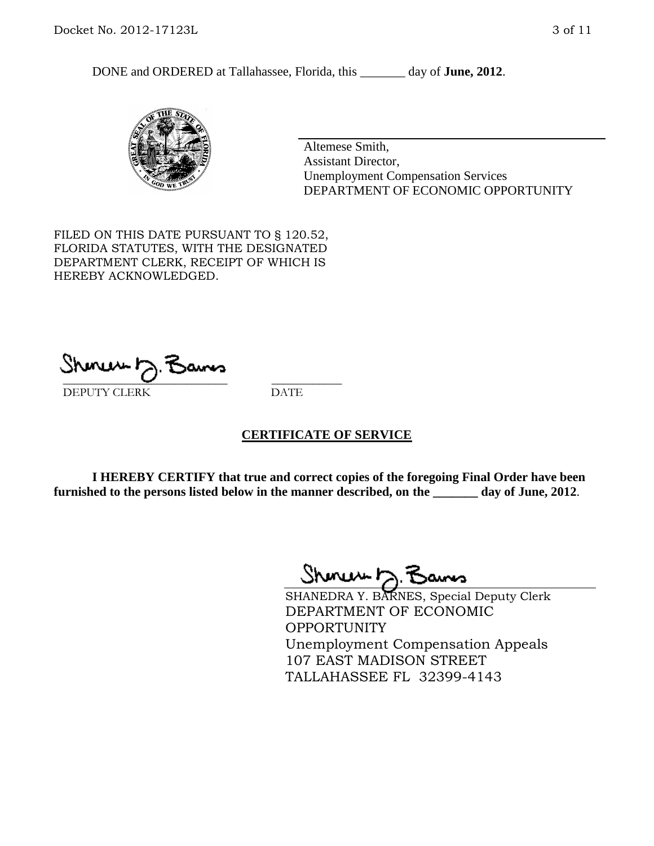DONE and ORDERED at Tallahassee, Florida, this day of **June, 2012**.



Altemese Smith, Assistant Director, Unemployment Compensation Services DEPARTMENT OF ECONOMIC OPPORTUNITY

FILED ON THIS DATE PURSUANT TO § 120.52, FLORIDA STATUTES, WITH THE DESIGNATED DEPARTMENT CLERK, RECEIPT OF WHICH IS HEREBY ACKNOWLEDGED.

 $\mathcal{S}$ hmun $\mapsto$   $\mathcal{S}$ amo DEPUTY CLERK DATE

## **CERTIFICATE OF SERVICE**

**I HEREBY CERTIFY that true and correct copies of the foregoing Final Order have been furnished to the persons listed below in the manner described, on the \_\_\_\_\_\_\_ day of June, 2012**.

Shoner D. Bams

SHANEDRA Y. BARNES, Special Deputy Clerk DEPARTMENT OF ECONOMIC OPPORTUNITY Unemployment Compensation Appeals 107 EAST MADISON STREET TALLAHASSEE FL 32399-4143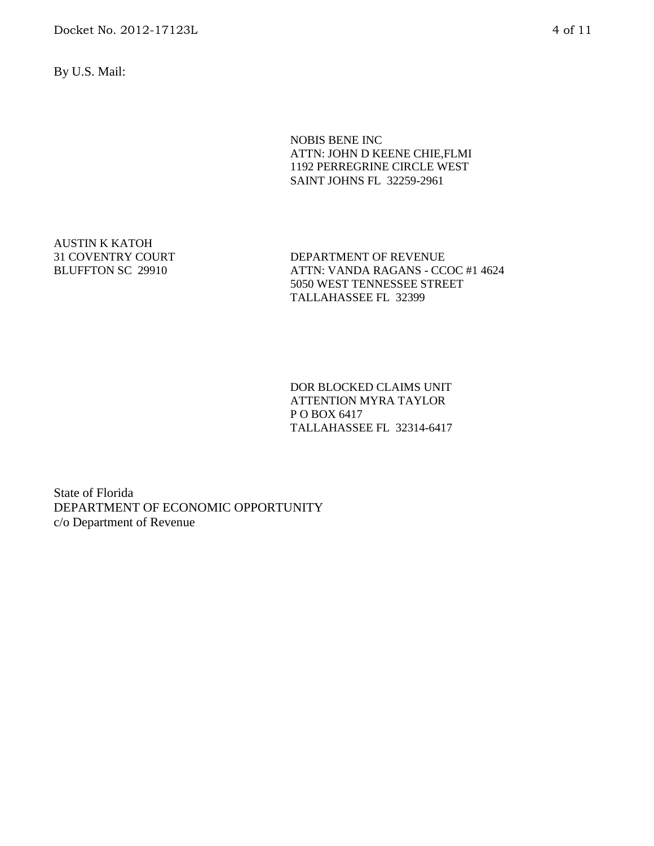By U.S. Mail:

NOBIS BENE INC ATTN: JOHN D KEENE CHIE,FLMI 1192 PERREGRINE CIRCLE WEST SAINT JOHNS FL 32259-2961

AUSTIN K KATOH 31 COVENTRY COURT BLUFFTON SC 29910

DEPARTMENT OF REVENUE ATTN: VANDA RAGANS - CCOC #1 4624 5050 WEST TENNESSEE STREET TALLAHASSEE FL 32399

DOR BLOCKED CLAIMS UNIT ATTENTION MYRA TAYLOR P O BOX 6417 TALLAHASSEE FL 32314-6417

State of Florida DEPARTMENT OF ECONOMIC OPPORTUNITY c/o Department of Revenue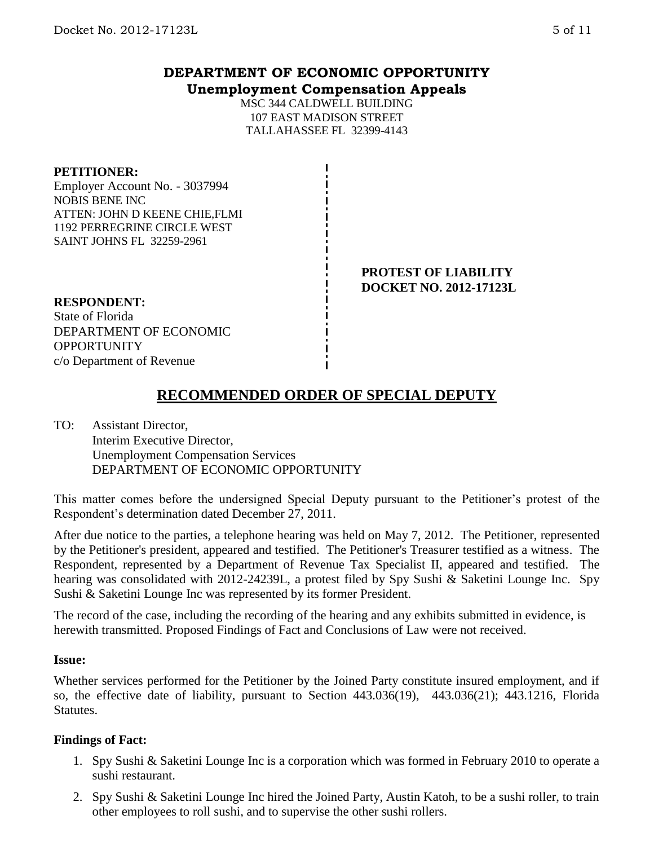# **DEPARTMENT OF ECONOMIC OPPORTUNITY Unemployment Compensation Appeals**

MSC 344 CALDWELL BUILDING 107 EAST MADISON STREET TALLAHASSEE FL 32399-4143

## **PETITIONER:**

Employer Account No. - 3037994 NOBIS BENE INC ATTEN: JOHN D KEENE CHIE,FLMI 1192 PERREGRINE CIRCLE WEST SAINT JOHNS FL 32259-2961

> **PROTEST OF LIABILITY DOCKET NO. 2012-17123L**

#### **RESPONDENT:**

State of Florida DEPARTMENT OF ECONOMIC **OPPORTUNITY** c/o Department of Revenue

# **RECOMMENDED ORDER OF SPECIAL DEPUTY**

TO: Assistant Director, Interim Executive Director, Unemployment Compensation Services DEPARTMENT OF ECONOMIC OPPORTUNITY

This matter comes before the undersigned Special Deputy pursuant to the Petitioner's protest of the Respondent's determination dated December 27, 2011.

After due notice to the parties, a telephone hearing was held on May 7, 2012. The Petitioner, represented by the Petitioner's president, appeared and testified. The Petitioner's Treasurer testified as a witness. The Respondent, represented by a Department of Revenue Tax Specialist II, appeared and testified. The hearing was consolidated with 2012-24239L, a protest filed by Spy Sushi & Saketini Lounge Inc. Spy Sushi & Saketini Lounge Inc was represented by its former President.

The record of the case, including the recording of the hearing and any exhibits submitted in evidence, is herewith transmitted. Proposed Findings of Fact and Conclusions of Law were not received.

## **Issue:**

Whether services performed for the Petitioner by the Joined Party constitute insured employment, and if so, the effective date of liability, pursuant to Section 443.036(19), 443.036(21); 443.1216, Florida Statutes.

## **Findings of Fact:**

- 1. Spy Sushi & Saketini Lounge Inc is a corporation which was formed in February 2010 to operate a sushi restaurant.
- 2. Spy Sushi & Saketini Lounge Inc hired the Joined Party, Austin Katoh, to be a sushi roller, to train other employees to roll sushi, and to supervise the other sushi rollers.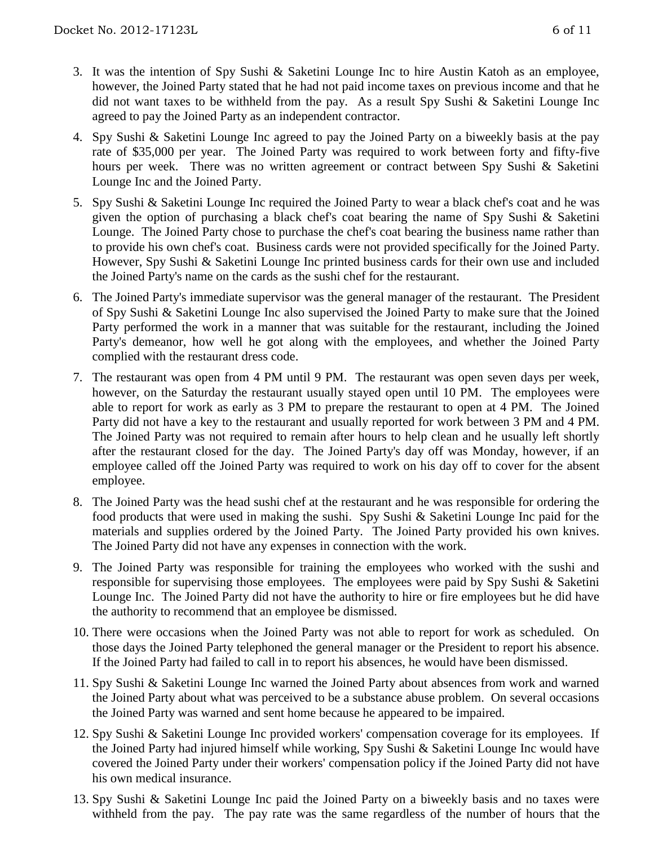- 3. It was the intention of Spy Sushi & Saketini Lounge Inc to hire Austin Katoh as an employee, however, the Joined Party stated that he had not paid income taxes on previous income and that he did not want taxes to be withheld from the pay. As a result Spy Sushi & Saketini Lounge Inc agreed to pay the Joined Party as an independent contractor.
- 4. Spy Sushi & Saketini Lounge Inc agreed to pay the Joined Party on a biweekly basis at the pay rate of \$35,000 per year. The Joined Party was required to work between forty and fifty-five hours per week. There was no written agreement or contract between Spy Sushi & Saketini Lounge Inc and the Joined Party.
- 5. Spy Sushi & Saketini Lounge Inc required the Joined Party to wear a black chef's coat and he was given the option of purchasing a black chef's coat bearing the name of Spy Sushi & Saketini Lounge. The Joined Party chose to purchase the chef's coat bearing the business name rather than to provide his own chef's coat. Business cards were not provided specifically for the Joined Party. However, Spy Sushi & Saketini Lounge Inc printed business cards for their own use and included the Joined Party's name on the cards as the sushi chef for the restaurant.
- 6. The Joined Party's immediate supervisor was the general manager of the restaurant. The President of Spy Sushi & Saketini Lounge Inc also supervised the Joined Party to make sure that the Joined Party performed the work in a manner that was suitable for the restaurant, including the Joined Party's demeanor, how well he got along with the employees, and whether the Joined Party complied with the restaurant dress code.
- 7. The restaurant was open from 4 PM until 9 PM. The restaurant was open seven days per week, however, on the Saturday the restaurant usually stayed open until 10 PM. The employees were able to report for work as early as 3 PM to prepare the restaurant to open at 4 PM. The Joined Party did not have a key to the restaurant and usually reported for work between 3 PM and 4 PM. The Joined Party was not required to remain after hours to help clean and he usually left shortly after the restaurant closed for the day. The Joined Party's day off was Monday, however, if an employee called off the Joined Party was required to work on his day off to cover for the absent employee.
- 8. The Joined Party was the head sushi chef at the restaurant and he was responsible for ordering the food products that were used in making the sushi. Spy Sushi & Saketini Lounge Inc paid for the materials and supplies ordered by the Joined Party. The Joined Party provided his own knives. The Joined Party did not have any expenses in connection with the work.
- 9. The Joined Party was responsible for training the employees who worked with the sushi and responsible for supervising those employees. The employees were paid by Spy Sushi & Saketini Lounge Inc. The Joined Party did not have the authority to hire or fire employees but he did have the authority to recommend that an employee be dismissed.
- 10. There were occasions when the Joined Party was not able to report for work as scheduled. On those days the Joined Party telephoned the general manager or the President to report his absence. If the Joined Party had failed to call in to report his absences, he would have been dismissed.
- 11. Spy Sushi & Saketini Lounge Inc warned the Joined Party about absences from work and warned the Joined Party about what was perceived to be a substance abuse problem. On several occasions the Joined Party was warned and sent home because he appeared to be impaired.
- 12. Spy Sushi & Saketini Lounge Inc provided workers' compensation coverage for its employees. If the Joined Party had injured himself while working, Spy Sushi & Saketini Lounge Inc would have covered the Joined Party under their workers' compensation policy if the Joined Party did not have his own medical insurance.
- 13. Spy Sushi & Saketini Lounge Inc paid the Joined Party on a biweekly basis and no taxes were withheld from the pay. The pay rate was the same regardless of the number of hours that the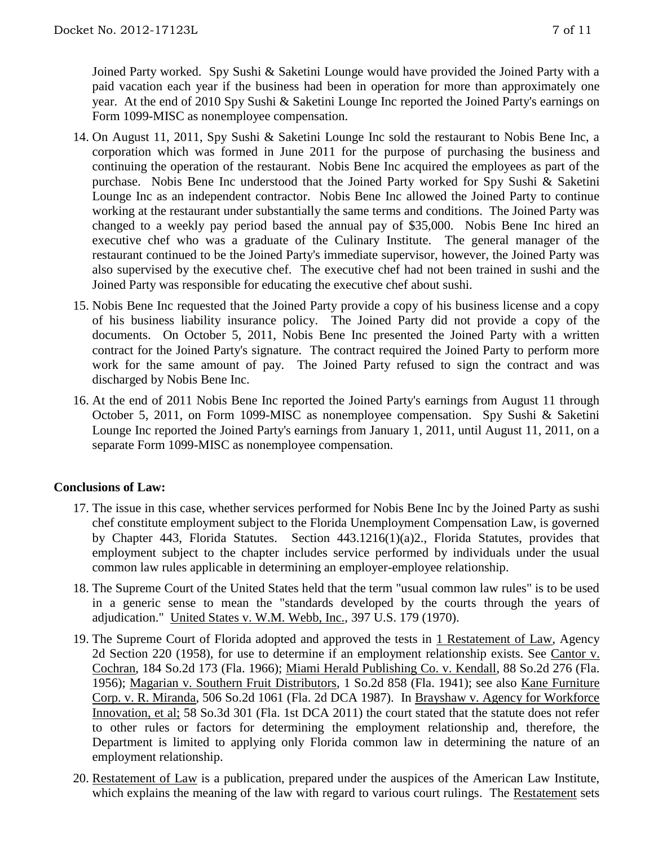Joined Party worked. Spy Sushi & Saketini Lounge would have provided the Joined Party with a paid vacation each year if the business had been in operation for more than approximately one year. At the end of 2010 Spy Sushi & Saketini Lounge Inc reported the Joined Party's earnings on Form 1099-MISC as nonemployee compensation.

- 14. On August 11, 2011, Spy Sushi & Saketini Lounge Inc sold the restaurant to Nobis Bene Inc, a corporation which was formed in June 2011 for the purpose of purchasing the business and continuing the operation of the restaurant. Nobis Bene Inc acquired the employees as part of the purchase. Nobis Bene Inc understood that the Joined Party worked for Spy Sushi & Saketini Lounge Inc as an independent contractor. Nobis Bene Inc allowed the Joined Party to continue working at the restaurant under substantially the same terms and conditions. The Joined Party was changed to a weekly pay period based the annual pay of \$35,000. Nobis Bene Inc hired an executive chef who was a graduate of the Culinary Institute. The general manager of the restaurant continued to be the Joined Party's immediate supervisor, however, the Joined Party was also supervised by the executive chef. The executive chef had not been trained in sushi and the Joined Party was responsible for educating the executive chef about sushi.
- 15. Nobis Bene Inc requested that the Joined Party provide a copy of his business license and a copy of his business liability insurance policy. The Joined Party did not provide a copy of the documents. On October 5, 2011, Nobis Bene Inc presented the Joined Party with a written contract for the Joined Party's signature. The contract required the Joined Party to perform more work for the same amount of pay. The Joined Party refused to sign the contract and was discharged by Nobis Bene Inc.
- 16. At the end of 2011 Nobis Bene Inc reported the Joined Party's earnings from August 11 through October 5, 2011, on Form 1099-MISC as nonemployee compensation. Spy Sushi & Saketini Lounge Inc reported the Joined Party's earnings from January 1, 2011, until August 11, 2011, on a separate Form 1099-MISC as nonemployee compensation.

# **Conclusions of Law:**

- 17. The issue in this case, whether services performed for Nobis Bene Inc by the Joined Party as sushi chef constitute employment subject to the Florida Unemployment Compensation Law, is governed by Chapter 443, Florida Statutes. Section 443.1216(1)(a)2., Florida Statutes, provides that employment subject to the chapter includes service performed by individuals under the usual common law rules applicable in determining an employer-employee relationship.
- 18. The Supreme Court of the United States held that the term "usual common law rules" is to be used in a generic sense to mean the "standards developed by the courts through the years of adjudication." United States v. W.M. Webb, Inc., 397 U.S. 179 (1970).
- 19. The Supreme Court of Florida adopted and approved the tests in 1 Restatement of Law, Agency 2d Section 220 (1958), for use to determine if an employment relationship exists. See Cantor v. Cochran, 184 So.2d 173 (Fla. 1966); Miami Herald Publishing Co. v. Kendall, 88 So.2d 276 (Fla. 1956); Magarian v. Southern Fruit Distributors, 1 So.2d 858 (Fla. 1941); see also Kane Furniture Corp. v. R. Miranda, 506 So.2d 1061 (Fla. 2d DCA 1987). In Brayshaw v. Agency for Workforce Innovation, et al; 58 So.3d 301 (Fla. 1st DCA 2011) the court stated that the statute does not refer to other rules or factors for determining the employment relationship and, therefore, the Department is limited to applying only Florida common law in determining the nature of an employment relationship.
- 20. Restatement of Law is a publication, prepared under the auspices of the American Law Institute, which explains the meaning of the law with regard to various court rulings. The Restatement sets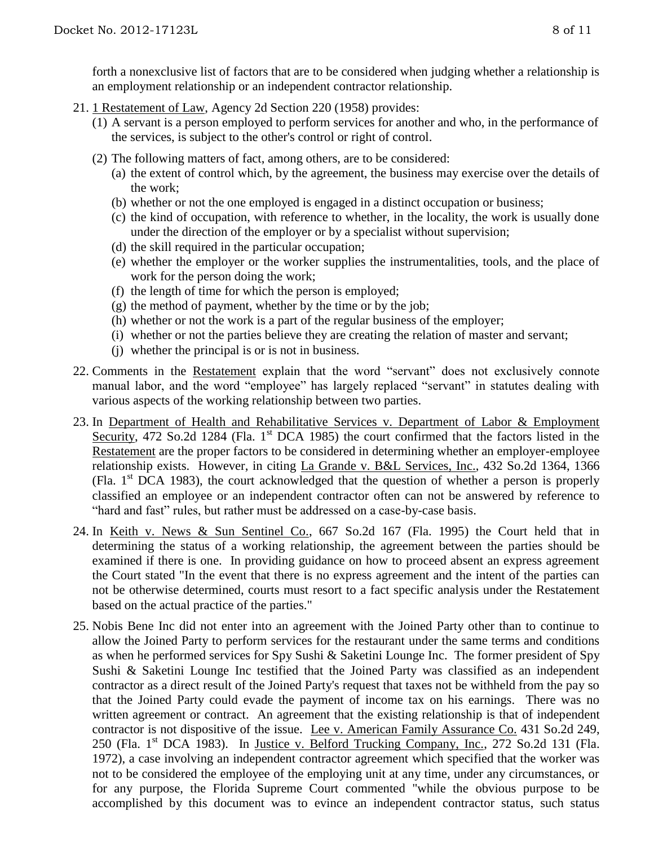forth a nonexclusive list of factors that are to be considered when judging whether a relationship is an employment relationship or an independent contractor relationship.

- 21. 1 Restatement of Law, Agency 2d Section 220 (1958) provides:
	- (1) A servant is a person employed to perform services for another and who, in the performance of the services, is subject to the other's control or right of control.
	- (2) The following matters of fact, among others, are to be considered:
		- (a) the extent of control which, by the agreement, the business may exercise over the details of the work;
		- (b) whether or not the one employed is engaged in a distinct occupation or business;
		- (c) the kind of occupation, with reference to whether, in the locality, the work is usually done under the direction of the employer or by a specialist without supervision;
		- (d) the skill required in the particular occupation;
		- (e) whether the employer or the worker supplies the instrumentalities, tools, and the place of work for the person doing the work;
		- (f) the length of time for which the person is employed;
		- $(g)$  the method of payment, whether by the time or by the job;
		- (h) whether or not the work is a part of the regular business of the employer;
		- (i) whether or not the parties believe they are creating the relation of master and servant;
		- (j) whether the principal is or is not in business.
- 22. Comments in the Restatement explain that the word "servant" does not exclusively connote manual labor, and the word "employee" has largely replaced "servant" in statutes dealing with various aspects of the working relationship between two parties.
- 23. In Department of Health and Rehabilitative Services v. Department of Labor & Employment Security, 472 So.2d 1284 (Fla. 1<sup>st</sup> DCA 1985) the court confirmed that the factors listed in the Restatement are the proper factors to be considered in determining whether an employer-employee relationship exists. However, in citing La Grande v. B&L Services, Inc., 432 So.2d 1364, 1366 (Fla.  $1<sup>st</sup> DCA$  1983), the court acknowledged that the question of whether a person is properly classified an employee or an independent contractor often can not be answered by reference to "hard and fast" rules, but rather must be addressed on a case-by-case basis.
- 24. In Keith v. News & Sun Sentinel Co., 667 So.2d 167 (Fla. 1995) the Court held that in determining the status of a working relationship, the agreement between the parties should be examined if there is one. In providing guidance on how to proceed absent an express agreement the Court stated "In the event that there is no express agreement and the intent of the parties can not be otherwise determined, courts must resort to a fact specific analysis under the Restatement based on the actual practice of the parties."
- 25. Nobis Bene Inc did not enter into an agreement with the Joined Party other than to continue to allow the Joined Party to perform services for the restaurant under the same terms and conditions as when he performed services for Spy Sushi & Saketini Lounge Inc. The former president of Spy Sushi & Saketini Lounge Inc testified that the Joined Party was classified as an independent contractor as a direct result of the Joined Party's request that taxes not be withheld from the pay so that the Joined Party could evade the payment of income tax on his earnings. There was no written agreement or contract. An agreement that the existing relationship is that of independent contractor is not dispositive of the issue. Lee v. American Family Assurance Co. 431 So.2d 249, 250 (Fla. 1<sup>st</sup> DCA 1983). In Justice v. Belford Trucking Company, Inc., 272 So.2d 131 (Fla. 1972), a case involving an independent contractor agreement which specified that the worker was not to be considered the employee of the employing unit at any time, under any circumstances, or for any purpose, the Florida Supreme Court commented "while the obvious purpose to be accomplished by this document was to evince an independent contractor status, such status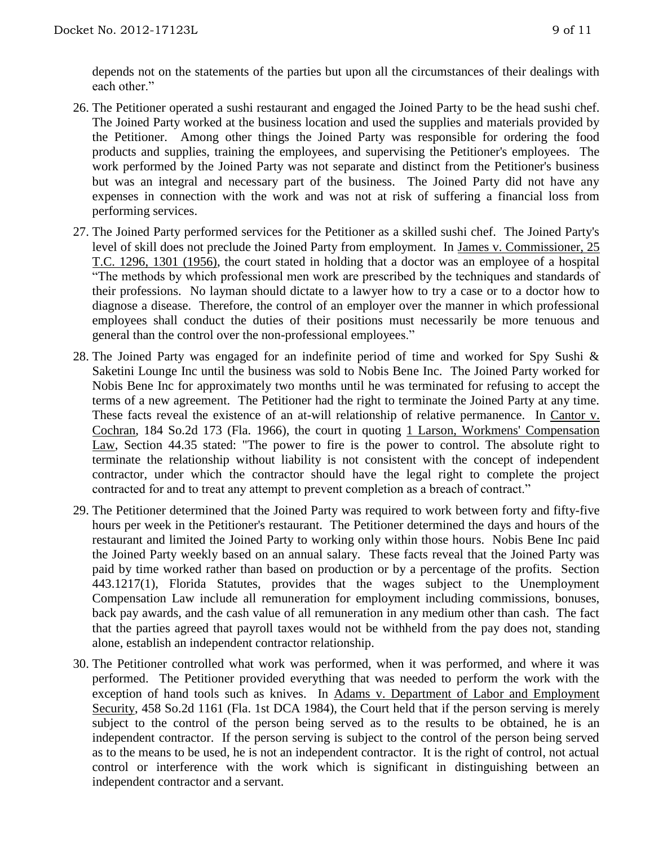depends not on the statements of the parties but upon all the circumstances of their dealings with each other."

- 26. The Petitioner operated a sushi restaurant and engaged the Joined Party to be the head sushi chef. The Joined Party worked at the business location and used the supplies and materials provided by the Petitioner. Among other things the Joined Party was responsible for ordering the food products and supplies, training the employees, and supervising the Petitioner's employees. The work performed by the Joined Party was not separate and distinct from the Petitioner's business but was an integral and necessary part of the business. The Joined Party did not have any expenses in connection with the work and was not at risk of suffering a financial loss from performing services.
- 27. The Joined Party performed services for the Petitioner as a skilled sushi chef. The Joined Party's level of skill does not preclude the Joined Party from employment. In James v. Commissioner, 25 T.C. 1296, 1301 (1956), the court stated in holding that a doctor was an employee of a hospital "The methods by which professional men work are prescribed by the techniques and standards of their professions. No layman should dictate to a lawyer how to try a case or to a doctor how to diagnose a disease. Therefore, the control of an employer over the manner in which professional employees shall conduct the duties of their positions must necessarily be more tenuous and general than the control over the non-professional employees."
- 28. The Joined Party was engaged for an indefinite period of time and worked for Spy Sushi & Saketini Lounge Inc until the business was sold to Nobis Bene Inc. The Joined Party worked for Nobis Bene Inc for approximately two months until he was terminated for refusing to accept the terms of a new agreement. The Petitioner had the right to terminate the Joined Party at any time. These facts reveal the existence of an at-will relationship of relative permanence. In Cantor v. Cochran, 184 So.2d 173 (Fla. 1966), the court in quoting 1 Larson, Workmens' Compensation Law, Section 44.35 stated: "The power to fire is the power to control. The absolute right to terminate the relationship without liability is not consistent with the concept of independent contractor, under which the contractor should have the legal right to complete the project contracted for and to treat any attempt to prevent completion as a breach of contract."
- 29. The Petitioner determined that the Joined Party was required to work between forty and fifty-five hours per week in the Petitioner's restaurant. The Petitioner determined the days and hours of the restaurant and limited the Joined Party to working only within those hours. Nobis Bene Inc paid the Joined Party weekly based on an annual salary. These facts reveal that the Joined Party was paid by time worked rather than based on production or by a percentage of the profits. Section 443.1217(1), Florida Statutes, provides that the wages subject to the Unemployment Compensation Law include all remuneration for employment including commissions, bonuses, back pay awards, and the cash value of all remuneration in any medium other than cash. The fact that the parties agreed that payroll taxes would not be withheld from the pay does not, standing alone, establish an independent contractor relationship.
- 30. The Petitioner controlled what work was performed, when it was performed, and where it was performed. The Petitioner provided everything that was needed to perform the work with the exception of hand tools such as knives. In Adams v. Department of Labor and Employment Security, 458 So.2d 1161 (Fla. 1st DCA 1984), the Court held that if the person serving is merely subject to the control of the person being served as to the results to be obtained, he is an independent contractor. If the person serving is subject to the control of the person being served as to the means to be used, he is not an independent contractor. It is the right of control, not actual control or interference with the work which is significant in distinguishing between an independent contractor and a servant.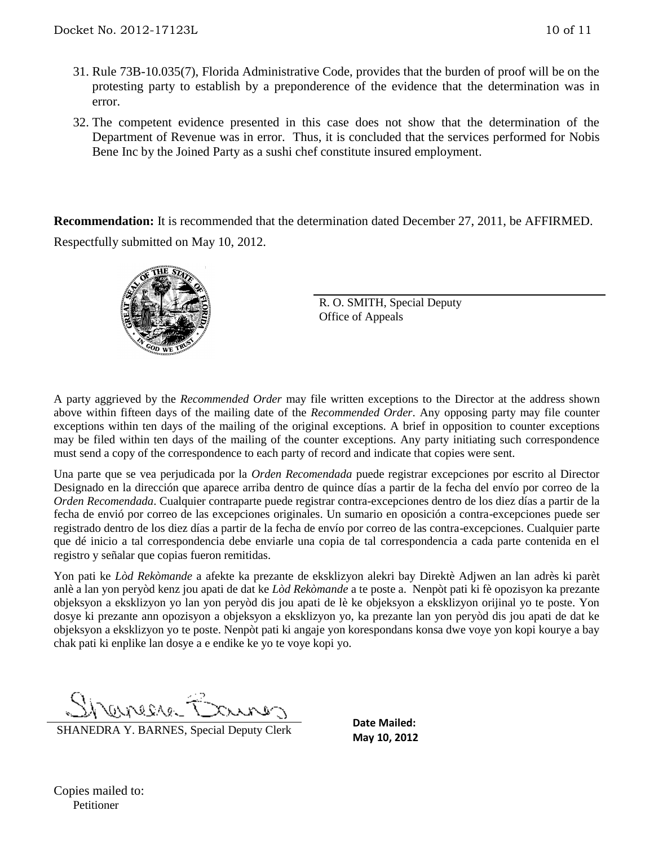- 31. Rule 73B-10.035(7), Florida Administrative Code, provides that the burden of proof will be on the protesting party to establish by a preponderence of the evidence that the determination was in error.
- 32. The competent evidence presented in this case does not show that the determination of the Department of Revenue was in error. Thus, it is concluded that the services performed for Nobis Bene Inc by the Joined Party as a sushi chef constitute insured employment.

**Recommendation:** It is recommended that the determination dated December 27, 2011, be AFFIRMED. Respectfully submitted on May 10, 2012.



R. O. SMITH, Special Deputy Office of Appeals

A party aggrieved by the *Recommended Order* may file written exceptions to the Director at the address shown above within fifteen days of the mailing date of the *Recommended Order*. Any opposing party may file counter exceptions within ten days of the mailing of the original exceptions. A brief in opposition to counter exceptions may be filed within ten days of the mailing of the counter exceptions. Any party initiating such correspondence must send a copy of the correspondence to each party of record and indicate that copies were sent.

Una parte que se vea perjudicada por la *Orden Recomendada* puede registrar excepciones por escrito al Director Designado en la dirección que aparece arriba dentro de quince días a partir de la fecha del envío por correo de la *Orden Recomendada*. Cualquier contraparte puede registrar contra-excepciones dentro de los diez días a partir de la fecha de envió por correo de las excepciones originales. Un sumario en oposición a contra-excepciones puede ser registrado dentro de los diez días a partir de la fecha de envío por correo de las contra-excepciones. Cualquier parte que dé inicio a tal correspondencia debe enviarle una copia de tal correspondencia a cada parte contenida en el registro y señalar que copias fueron remitidas.

Yon pati ke *Lòd Rekòmande* a afekte ka prezante de eksklizyon alekri bay Direktè Adjwen an lan adrès ki parèt anlè a lan yon peryòd kenz jou apati de dat ke *Lòd Rekòmande* a te poste a. Nenpòt pati ki fè opozisyon ka prezante objeksyon a eksklizyon yo lan yon peryòd dis jou apati de lè ke objeksyon a eksklizyon orijinal yo te poste. Yon dosye ki prezante ann opozisyon a objeksyon a eksklizyon yo, ka prezante lan yon peryòd dis jou apati de dat ke objeksyon a eksklizyon yo te poste. Nenpòt pati ki angaje yon korespondans konsa dwe voye yon kopi kourye a bay chak pati ki enplike lan dosye a e endike ke yo te voye kopi yo.

T necessar

SHANEDRA Y. BARNES, Special Deputy Clerk

**Date Mailed: May 10, 2012**

Copies mailed to: Petitioner